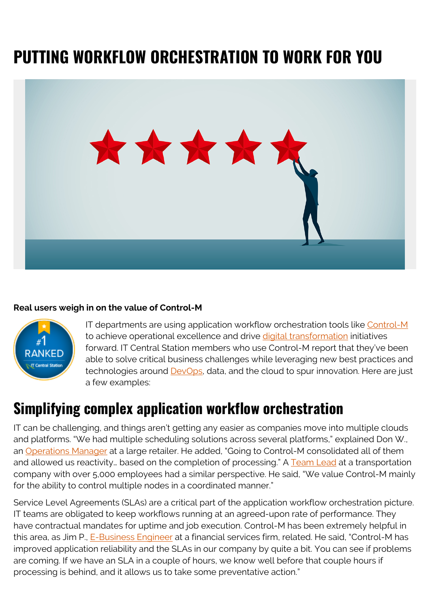# **PUTTING WORKFLOW ORCHESTRATION TO WORK FOR YOU**



#### **Real users weigh in on the value of Control-M**



IT departments are using application workflow orchestration tools like [Control-M](https://www.itcentralstation.com/products/control-m-reviews) to achieve operational excellence and drive [digital transformation](https://blogs.bmc.com/blogs/what-is-digital-transformation/) initiatives forward. IT Central Station members who use Control-M report that they've been able to solve critical business challenges while leveraging new best practices and technologies around [DevOps](https://blogs.bmc.com/blogs/devops-basics-introduction/), data, and the cloud to spur innovation. Here are just a few examples:

### **Simplifying complex application workflow orchestration**

IT can be challenging, and things aren't getting any easier as companies move into multiple clouds and platforms. "We had multiple scheduling solutions across several platforms," explained Don W., an [Operations Manager](https://www.itcentralstation.com/product_reviews/control-m-review-49710-by-don-writesel) at a large retailer. He added, "Going to Control-M consolidated all of them and allowed us reactivity... based on the completion of processing." A [Team Lead](https://www.itcentralstation.com/product_reviews/control-m-review-62334-by-teamldr34546) at a transportation company with over 5,000 employees had a similar perspective. He said, "We value Control-M mainly for the ability to control multiple nodes in a coordinated manner."

Service Level Agreements (SLAs) are a critical part of the application workflow orchestration picture. IT teams are obligated to keep workflows running at an agreed-upon rate of performance. They have contractual mandates for uptime and job execution. Control-M has been extremely helpful in this area, as Jim P., [E-Business Engineer](https://www.itcentralstation.com/product_reviews/control-m-review-62963-by-jim-perrone) at a financial services firm, related. He said, "Control-M has improved application reliability and the SLAs in our company by quite a bit. You can see if problems are coming. If we have an SLA in a couple of hours, we know well before that couple hours if processing is behind, and it allows us to take some preventative action."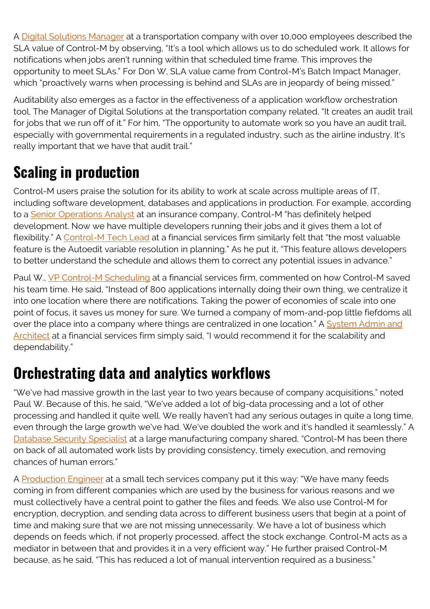A [Digital Solutions Manager](https://www.itcentralstation.com/product_reviews/control-m-review-62959-by-managerd502d) at a transportation company with over 10,000 employees described the SLA value of Control-M by observing, "It's a tool which allows us to do scheduled work. It allows for notifications when jobs aren't running within that scheduled time frame. This improves the opportunity to meet SLAs." For Don W, SLA value came from Control-M's Batch Impact Manager, which "proactively warns when processing is behind and SLAs are in jeopardy of being missed."

Auditability also emerges as a factor in the effectiveness of a application workflow orchestration tool. The Manager of Digital Solutions at the transportation company related, "It creates an audit trail for jobs that we run off of it." For him, "The opportunity to automate work so you have an audit trail, especially with governmental requirements in a regulated industry, such as the airline industry. It's really important that we have that audit trail."

# **Scaling in production**

Control-M users praise the solution for its ability to work at scale across multiple areas of IT, including software development, databases and applications in production. For example, according to a [Senior Operations Analyst](https://www.itcentralstation.com/product_reviews/control-m-review-62970-by-sroperat4d63) at an insurance company, Control-M "has definitely helped development. Now we have multiple developers running their jobs and it gives them a lot of flexibility." A [Control-M Tech Lead](https://www.itcentralstation.com/product_reviews/control-m-review-64771-by-reviewer1160214) at a financial services firm similarly felt that "the most valuable feature is the Autoedit variable resolution in planning." As he put it, "This feature allows developers to better understand the schedule and allows them to correct any potential issues in advance."

Paul W., [VP Control-M Scheduling](https://www.itcentralstation.com/product_reviews/control-m-review-62962-by-paul-wayland) at a financial services firm, commented on how Control-M saved his team time. He said, "Instead of 800 applications internally doing their own thing, we centralize it into one location where there are notifications. Taking the power of economies of scale into one point of focus, it saves us money for sure. We turned a company of mom-and-pop little fiefdoms all over the place into a company where things are centralized in one location." A [System Admin and](https://www.itcentralstation.com/product_reviews/control-m-review-62961-by-systemad1832) [Architect](https://www.itcentralstation.com/product_reviews/control-m-review-62961-by-systemad1832) at a financial services firm simply said, "I would recommend it for the scalability and dependability."

## **Orchestrating data and analytics workflows**

"We've had massive growth in the last year to two years because of company acquisitions," noted Paul W. Because of this, he said, "We've added a lot of big-data processing and a lot of other processing and handled it quite well. We really haven't had any serious outages in quite a long time, even through the large growth we've had. We've doubled the work and it's handled it seamlessly." A [Database Security Specialist](https://www.itcentralstation.com/product_reviews/control-m-review-47577-by-rahulranjan) at a large manufacturing company shared, "Control-M has been there on back of all automated work lists by providing consistency, timely execution, and removing chances of human errors."

A [Production Engineer](https://www.itcentralstation.com/product_reviews/control-m-review-62228-by-anirudhramesh) at a small tech services company put it this way: "We have many feeds coming in from different companies which are used by the business for various reasons and we must collectively have a central point to gather the files and feeds. We also use Control-M for encryption, decryption, and sending data across to different business users that begin at a point of time and making sure that we are not missing unnecessarily. We have a lot of business which depends on feeds which, if not properly processed, affect the stock exchange. Control-M acts as a mediator in between that and provides it in a very efficient way." He further praised Control-M because, as he said, "This has reduced a lot of manual intervention required as a business."